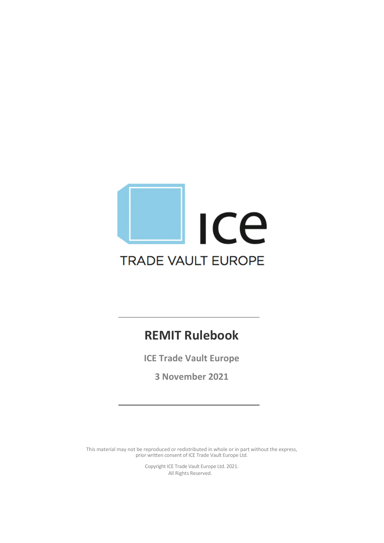# Ice **TRADE VAULT EUROPE**

## **REMIT Rulebook**

**ICE Trade Vault Europe**

**3 November 2021**

This material may not be reproduced or redistributed in whole or in part without the express, prior written consent of ICE Trade Vault Europe Ltd.

> Copyright ICE Trade Vault Europe Ltd. 2021. All Rights Reserved.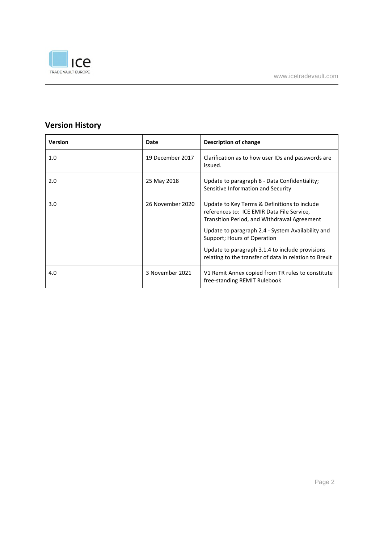

## **Version History**

| <b>Version</b> | Date             | Description of change                                                                                                                                                                                                                                                                                                                      |  |
|----------------|------------------|--------------------------------------------------------------------------------------------------------------------------------------------------------------------------------------------------------------------------------------------------------------------------------------------------------------------------------------------|--|
| 1.0            | 19 December 2017 | Clarification as to how user IDs and passwords are<br>issued.                                                                                                                                                                                                                                                                              |  |
| 2.0            | 25 May 2018      | Update to paragraph 8 - Data Confidentiality;<br>Sensitive Information and Security                                                                                                                                                                                                                                                        |  |
| 3.0            | 26 November 2020 | Update to Key Terms & Definitions to include<br>references to: ICE EMIR Data File Service,<br>Transition Period, and Withdrawal Agreement<br>Update to paragraph 2.4 - System Availability and<br>Support; Hours of Operation<br>Update to paragraph 3.1.4 to include provisions<br>relating to the transfer of data in relation to Brexit |  |
| 4.0            | 3 November 2021  | V1 Remit Annex copied from TR rules to constitute<br>free-standing REMIT Rulebook                                                                                                                                                                                                                                                          |  |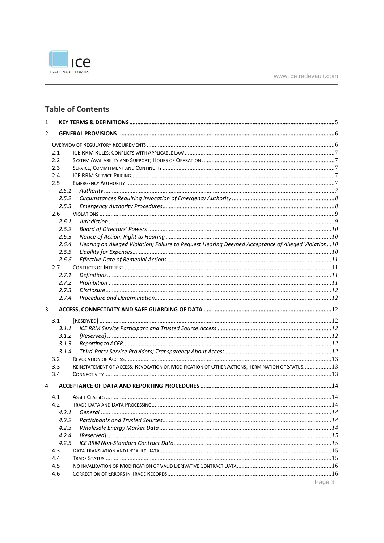

## **Table of Contents**

| 2 |                                                                                                                |  |
|---|----------------------------------------------------------------------------------------------------------------|--|
|   |                                                                                                                |  |
|   | 2.1                                                                                                            |  |
|   | 2.2                                                                                                            |  |
|   | 2.3                                                                                                            |  |
|   | 2.4                                                                                                            |  |
|   | 2.5                                                                                                            |  |
|   | 2.5.1                                                                                                          |  |
|   | 2.5.2                                                                                                          |  |
|   | 2.5.3                                                                                                          |  |
|   | 2.6                                                                                                            |  |
|   | 2.6.1                                                                                                          |  |
|   | 2.6.2                                                                                                          |  |
|   | 2.6.3                                                                                                          |  |
|   | Hearing on Alleged Violation; Failure to Request Hearing Deemed Acceptance of Alleged Violation. . 10<br>2.6.4 |  |
|   | 2.6.5                                                                                                          |  |
|   | 2.6.6                                                                                                          |  |
|   | 2.7                                                                                                            |  |
|   | 2.7.1                                                                                                          |  |
|   | 2.7.2                                                                                                          |  |
|   | 2.7.3                                                                                                          |  |
|   | 2.7.4                                                                                                          |  |
|   |                                                                                                                |  |
| 3 |                                                                                                                |  |
|   | 3.1                                                                                                            |  |
|   | 3.1.1                                                                                                          |  |
|   | 3.1.2                                                                                                          |  |
|   | 3.1.3                                                                                                          |  |
|   | 3.1.4                                                                                                          |  |
|   | 3.2                                                                                                            |  |
|   | REINSTATEMENT OF ACCESS; REVOCATION OR MODIFICATION OF OTHER ACTIONS; TERMINATION OF STATUS 13<br>3.3          |  |
|   | 3.4                                                                                                            |  |
| 4 |                                                                                                                |  |
|   |                                                                                                                |  |
|   | 4.1                                                                                                            |  |
|   | 4.2                                                                                                            |  |
|   | 4.2.1                                                                                                          |  |
|   | 4.2.2                                                                                                          |  |
|   | 4.2.3                                                                                                          |  |
|   | 4.2.4                                                                                                          |  |
|   | 4.2.5                                                                                                          |  |
|   | 4.3                                                                                                            |  |
|   | 4.4                                                                                                            |  |
|   | 4.5<br>4.6                                                                                                     |  |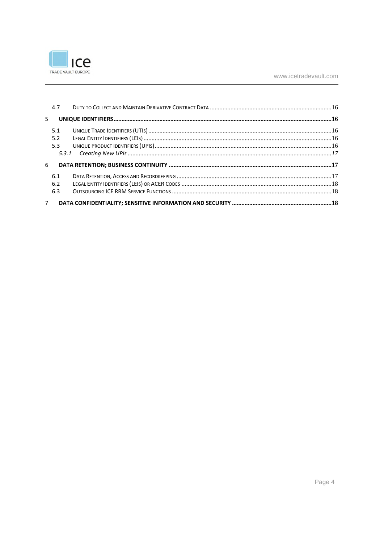

| 5 <sup>1</sup> |  |
|----------------|--|
| 5.1            |  |
| 5.2            |  |
| 5.3            |  |
|                |  |
| 6              |  |
| 6.1            |  |
| 6.2            |  |
| 6.3            |  |
| $7^{\circ}$    |  |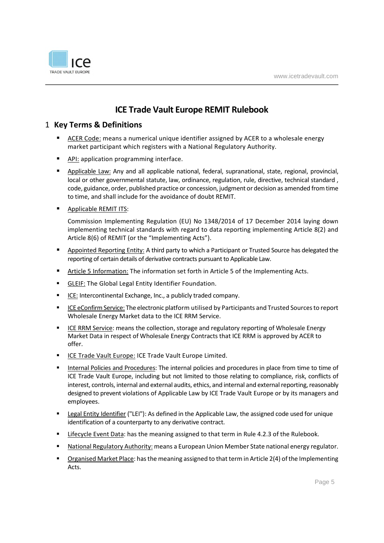

## **ICE Trade Vault Europe REMIT Rulebook**

#### 1 **Key Terms & Definitions**

- ACER Code: means a numerical unique identifier assigned by ACER to a wholesale energy market participant which registers with a National Regulatory Authority.
- **API: application programming interface.**
- **Applicable Law:** Any and all applicable national, federal, supranational, state, regional, provincial, local or other governmental statute, law, ordinance, regulation, rule, directive, technical standard, code, guidance, order, published practice or concession, judgment or decision as amended from time to time, and shall include for the avoidance of doubt REMIT.
- **Applicable REMIT ITS:**

Commission Implementing Regulation (EU) No 1348/2014 of 17 December 2014 laying down implementing technical standards with regard to data reporting implementing Article 8(2) and Article 8(6) of REMIT (or the "Implementing Acts").

- **Appointed Reporting Entity:** A third party to which a Participant or Trusted Source has delegated the reporting of certain details of derivative contracts pursuant to Applicable Law.
- Article 5 Information: The information set forth in Article 5 of the Implementing Acts.
- **GLEIF:** The Global Legal Entity Identifier Foundation.
- ICE: Intercontinental Exchange, Inc., a publicly traded company.
- ICE eConfirm Service: The electronic platform utilised by Participants and Trusted Sources to report Wholesale Energy Market data to the ICE RRM Service.
- ICE RRM Service: means the collection, storage and regulatory reporting of Wholesale Energy Market Data in respect of Wholesale Energy Contracts that ICE RRM is approved by ACER to offer.
- **ICE Trade Vault Europe: ICE Trade Vault Europe Limited.**
- Internal Policies and Procedures: The internal policies and procedures in place from time to time of ICE Trade Vault Europe, including but not limited to those relating to compliance, risk, conflicts of interest, controls, internal and external audits, ethics, and internal and external reporting, reasonably designed to prevent violations of Applicable Law by ICE Trade Vault Europe or by its managers and employees.
- Legal Entity Identifier ("LEI"): As defined in the Applicable Law, the assigned code used for unique identification of a counterparty to any derivative contract.
- Lifecycle Event Data: has the meaning assigned to that term in Rule 4.2.3 of the Rulebook.
- National Regulatory Authority: means a European Union Member State national energy regulator.
- Organised Market Place: has the meaning assigned to that term in Article 2(4) of the Implementing Acts.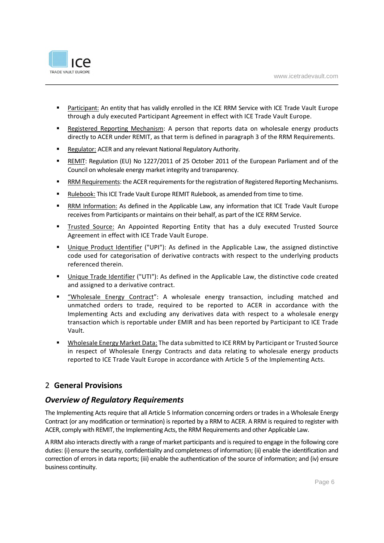

- Participant: An entity that has validly enrolled in the ICE RRM Service with ICE Trade Vault Europe through a duly executed Participant Agreement in effect with ICE Trade Vault Europe.
- Registered Reporting Mechanism: A person that reports data on wholesale energy products directly to ACER under REMIT, as that term is defined in paragraph 3 of the RRM Requirements.
- **Regulator: ACER and any relevant National Regulatory Authority.**
- REMIT: Regulation (EU) No 1227/2011 of 25 October 2011 of the European Parliament and of the Council on wholesale energy market integrity and transparency.
- RRM Requirements: the ACER requirements for the registration of Registered Reporting Mechanisms.
- Rulebook: This ICE Trade Vault Europe REMIT Rulebook, as amended from time to time.
- RRM Information: As defined in the Applicable Law, any information that ICE Trade Vault Europe receives from Participants or maintains on their behalf, as part of the ICE RRM Service.
- Trusted Source: An Appointed Reporting Entity that has a duly executed Trusted Source Agreement in effect with ICE Trade Vault Europe.
- Unique Product Identifier ("UPI"): As defined in the Applicable Law, the assigned distinctive code used for categorisation of derivative contracts with respect to the underlying products referenced therein.
- Unique Trade Identifier ("UTI"): As defined in the Applicable Law, the distinctive code created and assigned to a derivative contract.
- "Wholesale Energy Contract": A wholesale energy transaction, including matched and unmatched orders to trade, required to be reported to ACER in accordance with the Implementing Acts and excluding any derivatives data with respect to a wholesale energy transaction which is reportable under EMIR and has been reported by Participant to ICE Trade Vault.
- Wholesale Energy Market Data: The data submitted to ICE RRM by Participant or Trusted Source in respect of Wholesale Energy Contracts and data relating to wholesale energy products reported to ICE Trade Vault Europe in accordance with Article 5 of the Implementing Acts.

#### 2 **General Provisions**

### *Overview of Regulatory Requirements*

The Implementing Acts require that all Article 5 Information concerning orders or trades in a Wholesale Energy Contract (or any modification or termination) is reported by a RRM to ACER. A RRM is required to register with ACER, comply with REMIT, the Implementing Acts, the RRM Requirements and other Applicable Law.

A RRM also interacts directly with a range of market participants and is required to engage in the following core duties: (i) ensure the security, confidentiality and completeness of information; (ii) enable the identification and correction of errors in data reports; (iii) enable the authentication of the source of information; and (iv) ensure business continuity.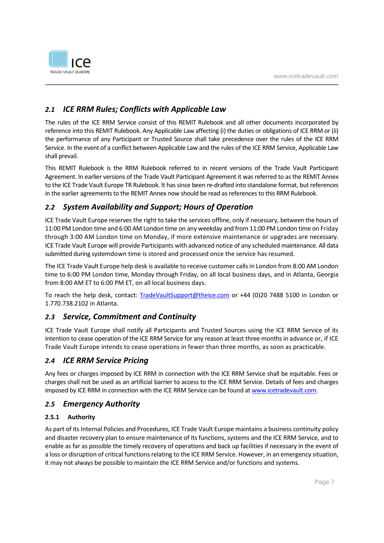

## *2.1 ICE RRM Rules; Conflicts with Applicable Law*

The rules of the ICE RRM Service consist of this REMIT Rulebook and all other documents incorporated by reference into this REMIT Rulebook. Any Applicable Law affecting (i) the duties or obligations of ICE RRM or (ii) the performance of any Participant or Trusted Source shall take precedence over the rules of the ICE RRM Service. In the event of a conflict between Applicable Law and the rules of the ICE RRM Service, Applicable Law shall prevail.

This REMIT Rulebook is the RRM Rulebook referred to in recent versions of the Trade Vault Participant Agreement. In earlier versions of the Trade Vault Participant Agreement it was referred to as the REMIT Annex to the ICE Trade Vault Europe TR Rulebook. It has since been re-drafted into standalone format, but references in the earlier agreements to the REMIT Annex now should be read as references to this RRM Rulebook.

## *2.2 System Availability and Support; Hours of Operation*

ICE Trade Vault Europe reserves the right to take the services offline, only if necessary, between the hours of 11:00 PM London time and 6:00 AM London time on any weekday and from 11:00 PM London time on Friday through 3:00 AM London time on Monday, if more extensive maintenance or upgrades are necessary. ICE Trade Vault Europe will provide Participants with advanced notice of any scheduled maintenance. All data submitted during systemdown time is stored and processed once the service has resumed.

The ICE Trade Vault Europe help desk is available to receive customer calls in London from 8:00 AM London time to 6:00 PM London time, Monday through Friday, on all local business days, and in Atlanta, Georgia from 8:00 AM ET to 6:00 PM ET, on all local business days.

To reach the help desk, contact: TradeVaultSupport@theice.com or +44 (0)20 7488 5100 in London or 1.770.738.2102 in Atlanta.

## *2.3 Service, Commitment and Continuity*

ICE Trade Vault Europe shall notify all Participants and Trusted Sources using the ICE RRM Service of its intention to cease operation of the ICE RRM Service for any reason at least three months in advance or, if ICE Trade Vault Europe intends to cease operations in fewer than three months, as soon as practicable.

#### *2.4 ICE RRM Service Pricing*

Any fees or charges imposed by ICE RRM in connection with the ICE RRM Service shall be equitable. Fees or charges shall not be used as an artificial barrier to access to the ICE RRM Service. Details of fees and charges imposed by ICE RRM in connection with the ICE RRM Service can be found at www.icetradevault.com.

## *2.5 Emergency Authority*

#### **2.5.1 Authority**

As part of its Internal Policies and Procedures, ICE Trade Vault Europe maintains a business continuity policy and disaster recovery plan to ensure maintenance of its functions, systems and the ICE RRM Service, and to enable as far as possible the timely recovery of operations and back up facilities if necessary in the event of a loss or disruption of critical functions relating to the ICE RRM Service. However, in an emergency situation, it may not always be possible to maintain the ICE RRM Service and/or functions and systems.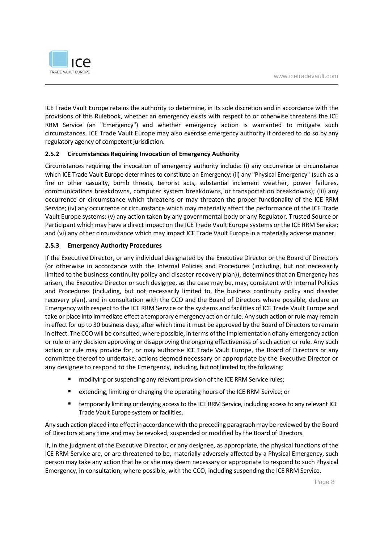

ICE Trade Vault Europe retains the authority to determine, in its sole discretion and in accordance with the provisions of this Rulebook, whether an emergency exists with respect to or otherwise threatens the ICE RRM Service (an "Emergency") and whether emergency action is warranted to mitigate such circumstances. ICE Trade Vault Europe may also exercise emergency authority if ordered to do so by any regulatory agency of competent jurisdiction.

#### **2.5.2 Circumstances Requiring Invocation of Emergency Authority**

Circumstances requiring the invocation of emergency authority include: (i) any occurrence or circumstance which ICE Trade Vault Europe determines to constitute an Emergency; (ii) any "Physical Emergency" (such as a fire or other casualty, bomb threats, terrorist acts, substantial inclement weather, power failures, communications breakdowns, computer system breakdowns, or transportation breakdowns); (iii) any occurrence or circumstance which threatens or may threaten the proper functionality of the ICE RRM Service; (iv) any occurrence or circumstance which may materially affect the performance of the ICE Trade Vault Europe systems; (v) any action taken by any governmental body or any Regulator, Trusted Source or Participant which may have a direct impact on the ICE Trade Vault Europe systems or the ICE RRM Service; and (vi) any other circumstance which may impact ICE Trade Vault Europe in a materially adverse manner.

#### **2.5.3 Emergency Authority Procedures**

If the Executive Director, or any individual designated by the Executive Director or the Board of Directors (or otherwise in accordance with the Internal Policies and Procedures (including, but not necessarily limited to the business continuity policy and disaster recovery plan)), determines that an Emergency has arisen, the Executive Director or such designee, as the case may be, may, consistent with Internal Policies and Procedures (including, but not necessarily limited to, the business continuity policy and disaster recovery plan), and in consultation with the CCO and the Board of Directors where possible, declare an Emergency with respect to the ICE RRM Service or the systems and facilities of ICE Trade Vault Europe and take or place into immediate effect a temporary emergency action or rule. Any such action or rule may remain in effect for up to 30 business days, after which time it must be approved by the Board of Directors to remain in effect. The CCO will be consulted, where possible, in terms of the implementation of any emergency action or rule or any decision approving or disapproving the ongoing effectiveness of such action or rule. Any such action or rule may provide for, or may authorise ICE Trade Vault Europe, the Board of Directors or any committee thereof to undertake, actions deemed necessary or appropriate by the Executive Director or any designee to respond to the Emergency, including, but not limited to, the following:

- **number 1** modifying or suspending any relevant provision of the ICE RRM Service rules;
- **E** extending, limiting or changing the operating hours of the ICE RRM Service; or
- **EXECT** temporarily limiting or denying access to the ICE RRM Service, including access to any relevant ICE Trade Vault Europe system or facilities.

Any such action placed into effect in accordance with the preceding paragraph may be reviewed by the Board of Directors at any time and may be revoked, suspended or modified by the Board of Directors.

If, in the judgment of the Executive Director, or any designee, as appropriate, the physical functions of the ICE RRM Service are, or are threatened to be, materially adversely affected by a Physical Emergency, such person may take any action that he or she may deem necessary or appropriate to respond to such Physical Emergency, in consultation, where possible, with the CCO, including suspending the ICE RRM Service.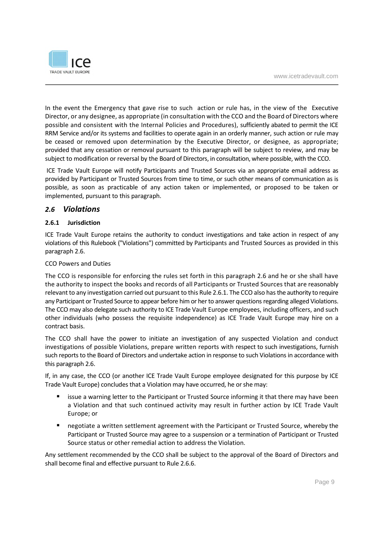

In the event the Emergency that gave rise to such action or rule has, in the view of the Executive Director, or any designee, as appropriate (in consultation with the CCO and the Board of Directors where possible and consistent with the Internal Policies and Procedures), sufficiently abated to permit the ICE RRM Service and/or its systems and facilities to operate again in an orderly manner, such action or rule may be ceased or removed upon determination by the Executive Director, or designee, as appropriate; provided that any cessation or removal pursuant to this paragraph will be subject to review, and may be subject to modification or reversal by the Board of Directors, in consultation, where possible, with the CCO.

ICE Trade Vault Europe will notify Participants and Trusted Sources via an appropriate email address as provided by Participant or Trusted Sources from time to time, or such other means of communication as is possible, as soon as practicable of any action taken or implemented, or proposed to be taken or implemented, pursuant to this paragraph.

#### *2.6 Violations*

#### **2.6.1 Jurisdiction**

ICE Trade Vault Europe retains the authority to conduct investigations and take action in respect of any violations of this Rulebook ("Violations") committed by Participants and Trusted Sources as provided in this paragraph 2.6.

#### CCO Powers and Duties

The CCO is responsible for enforcing the rules set forth in this paragraph 2.6 and he or she shall have the authority to inspect the books and records of all Participants or Trusted Sources that are reasonably relevant to any investigation carried out pursuant to this Rule 2.6.1. The CCO also has the authority to require any Participant or Trusted Source to appear before him or her to answer questions regarding alleged Violations. The CCO may also delegate such authority to ICE Trade Vault Europe employees, including officers, and such other individuals (who possess the requisite independence) as ICE Trade Vault Europe may hire on a contract basis.

The CCO shall have the power to initiate an investigation of any suspected Violation and conduct investigations of possible Violations, prepare written reports with respect to such investigations, furnish such reports to the Board of Directors and undertake action in response to such Violations in accordance with this paragraph 2.6.

If, in any case, the CCO (or another ICE Trade Vault Europe employee designated for this purpose by ICE Trade Vault Europe) concludes that a Violation may have occurred, he or she may:

- issue a warning letter to the Participant or Trusted Source informing it that there may have been a Violation and that such continued activity may result in further action by ICE Trade Vault Europe; or
- negotiate a written settlement agreement with the Participant or Trusted Source, whereby the Participant or Trusted Source may agree to a suspension or a termination of Participant or Trusted Source status or other remedial action to address the Violation.

Any settlement recommended by the CCO shall be subject to the approval of the Board of Directors and shall become final and effective pursuant to Rule 2.6.6.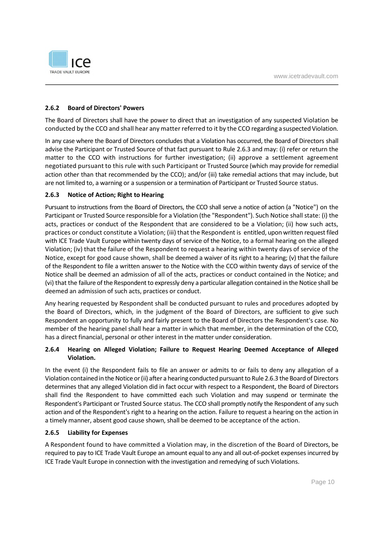

#### **2.6.2 Board of Directors' Powers**

The Board of Directors shall have the power to direct that an investigation of any suspected Violation be conducted by the CCO and shall hear any matter referred to it by the CCO regarding a suspected Violation.

In any case where the Board of Directors concludes that a Violation has occurred, the Board of Directors shall advise the Participant or Trusted Source of that fact pursuant to Rule 2.6.3 and may: (i) refer or return the matter to the CCO with instructions for further investigation; (ii) approve a settlement agreement negotiated pursuant to this rule with such Participant or Trusted Source (which may provide for remedial action other than that recommended by the CCO); and/or (iii) take remedial actions that may include, but are not limited to, a warning or a suspension or a termination of Participant or Trusted Source status.

#### **2.6.3 Notice of Action; Right to Hearing**

Pursuant to instructions from the Board of Directors, the CCO shall serve a notice of action (a "Notice") on the Participant or Trusted Source responsible for a Violation (the "Respondent"). Such Notice shall state: (i) the acts, practices or conduct of the Respondent that are considered to be a Violation; (ii) how such acts, practices or conduct constitute a Violation; (iii) that the Respondent is entitled, upon written request filed with ICE Trade Vault Europe within twenty days of service of the Notice, to a formal hearing on the alleged Violation; (iv) that the failure of the Respondent to request a hearing within twenty days of service of the Notice, except for good cause shown, shall be deemed a waiver of its right to a hearing; (v) that the failure of the Respondent to file a written answer to the Notice with the CCO within twenty days of service of the Notice shall be deemed an admission of all of the acts, practices or conduct contained in the Notice; and (vi) that the failure of the Respondent to expressly deny a particular allegation contained in the Notice shall be deemed an admission of such acts, practices or conduct.

Any hearing requested by Respondent shall be conducted pursuant to rules and procedures adopted by the Board of Directors, which, in the judgment of the Board of Directors, are sufficient to give such Respondent an opportunity to fully and fairly present to the Board of Directors the Respondent's case. No member of the hearing panel shall hear a matter in which that member, in the determination of the CCO, has a direct financial, personal or other interest in the matter under consideration.

#### **2.6.4 Hearing on Alleged Violation; Failure to Request Hearing Deemed Acceptance of Alleged Violation.**

In the event (i) the Respondent fails to file an answer or admits to or fails to deny any allegation of a Violation contained in the Notice or (ii) after a hearing conducted pursuant to Rule 2.6.3 the Board of Directors determines that any alleged Violation did in fact occur with respect to a Respondent, the Board of Directors shall find the Respondent to have committed each such Violation and may suspend or terminate the Respondent's Participant or Trusted Source status. The CCO shall promptly notify the Respondent of any such action and of the Respondent's right to a hearing on the action. Failure to request a hearing on the action in a timely manner, absent good cause shown, shall be deemed to be acceptance of the action.

#### **2.6.5 Liability for Expenses**

A Respondent found to have committed a Violation may, in the discretion of the Board of Directors, be required to pay to ICE Trade Vault Europe an amount equal to any and all out-of-pocket expenses incurred by ICE Trade Vault Europe in connection with the investigation and remedying of such Violations.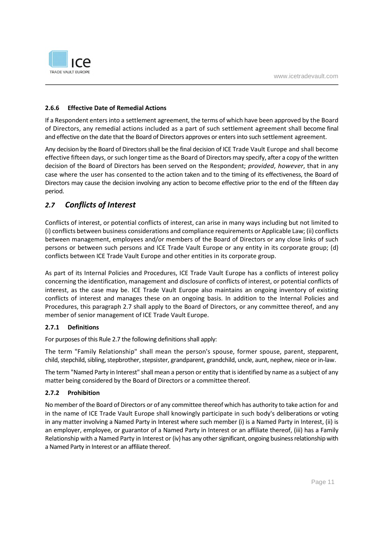

#### **2.6.6 Effective Date of Remedial Actions**

If a Respondent enters into a settlement agreement, the terms of which have been approved by the Board of Directors, any remedial actions included as a part of such settlement agreement shall become final and effective on the date that the Board of Directors approves or enters into such settlement agreement.

Any decision by the Board of Directors shall be the final decision of ICE Trade Vault Europe and shall become effective fifteen days, or such longer time as the Board of Directors may specify, after a copy of the written decision of the Board of Directors has been served on the Respondent; *provided*, *however*, that in any case where the user has consented to the action taken and to the timing of its effectiveness, the Board of Directors may cause the decision involving any action to become effective prior to the end of the fifteen day period.

## *2.7 Conflicts of Interest*

Conflicts of interest, or potential conflicts of interest, can arise in many ways including but not limited to (i) conflicts between business considerations and compliance requirements or Applicable Law; (ii) conflicts between management, employees and/or members of the Board of Directors or any close links of such persons or between such persons and ICE Trade Vault Europe or any entity in its corporate group; (d) conflicts between ICE Trade Vault Europe and other entities in its corporate group.

As part of its Internal Policies and Procedures, ICE Trade Vault Europe has a conflicts of interest policy concerning the identification, management and disclosure of conflicts of interest, or potential conflicts of interest, as the case may be. ICE Trade Vault Europe also maintains an ongoing inventory of existing conflicts of interest and manages these on an ongoing basis. In addition to the Internal Policies and Procedures, this paragraph 2.7 shall apply to the Board of Directors, or any committee thereof, and any member of senior management of ICE Trade Vault Europe.

#### **2.7.1 Definitions**

For purposes of this Rule 2.7 the following definitions shall apply:

The term "Family Relationship" shall mean the person's spouse, former spouse, parent, stepparent, child, stepchild, sibling, stepbrother, stepsister, grandparent, grandchild, uncle, aunt, nephew, niece or in-law.

The term "Named Party in Interest" shall mean a person or entity that is identified by name as a subject of any matter being considered by the Board of Directors or a committee thereof.

#### **2.7.2 Prohibition**

No member of the Board of Directors or of any committee thereof which has authority to take action for and in the name of ICE Trade Vault Europe shall knowingly participate in such body's deliberations or voting in any matter involving a Named Party in Interest where such member (i) is a Named Party in Interest, (ii) is an employer, employee, or guarantor of a Named Party in Interest or an affiliate thereof, (iii) has a Family Relationship with a Named Party in Interest or (iv) has any other significant, ongoing business relationship with a Named Party in Interest or an affiliate thereof.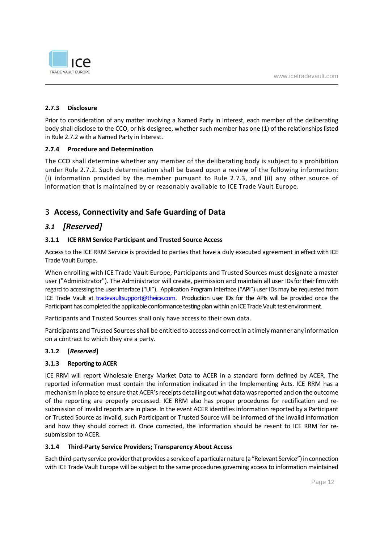

#### **2.7.3 Disclosure**

Prior to consideration of any matter involving a Named Party in Interest, each member of the deliberating body shall disclose to the CCO, or his designee, whether such member has one (1) of the relationships listed in Rule 2.7.2 with a Named Party in Interest.

#### **2.7.4 Procedure and Determination**

The CCO shall determine whether any member of the deliberating body is subject to a prohibition under Rule 2.7.2. Such determination shall be based upon a review of the following information: (i) information provided by the member pursuant to Rule 2.7.3, and (ii) any other source of information that is maintained by or reasonably available to ICE Trade Vault Europe.

## 3 **Access, Connectivity and Safe Guarding of Data**

#### *3.1 [Reserved]*

#### **3.1.1 ICE RRM Service Participant and Trusted Source Access**

Access to the ICE RRM Service is provided to parties that have a duly executed agreement in effect with ICE Trade Vault Europe.

When enrolling with ICE Trade Vault Europe, Participants and Trusted Sources must designate a master user ("Administrator"). The Administrator will create, permission and maintain all user IDs for their firm with regard to accessing the user interface ("UI"). Application Program Interface ("API") user IDs may be requested from ICE Trade Vault at tradevaultsupport@theice.com. Production user IDs for the APIs will be provided once the Participant has completed the applicable conformance testing plan within an ICE Trade Vault test environment.

Participants and Trusted Sources shall only have access to their own data.

Participants and Trusted Sources shall be entitled to access and correct in a timely manner any information on a contract to which they are a party.

#### **3.1.2 [***Reserved***]**

#### **3.1.3 Reporting to ACER**

ICE RRM will report Wholesale Energy Market Data to ACER in a standard form defined by ACER. The reported information must contain the information indicated in the Implementing Acts. ICE RRM has a mechanism in place to ensure that ACER's receipts detailing out what data was reported and on the outcome of the reporting are properly processed. ICE RRM also has proper procedures for rectification and resubmission of invalid reports are in place. In the event ACER identifies information reported by a Participant or Trusted Source as invalid, such Participant or Trusted Source will be informed of the invalid information and how they should correct it. Once corrected, the information should be resent to ICE RRM for resubmission to ACER.

#### **3.1.4 Third-Party Service Providers; Transparency About Access**

Each third-party service provider that provides a service of a particular nature (a "Relevant Service") in connection with ICE Trade Vault Europe will be subject to the same procedures governing access to information maintained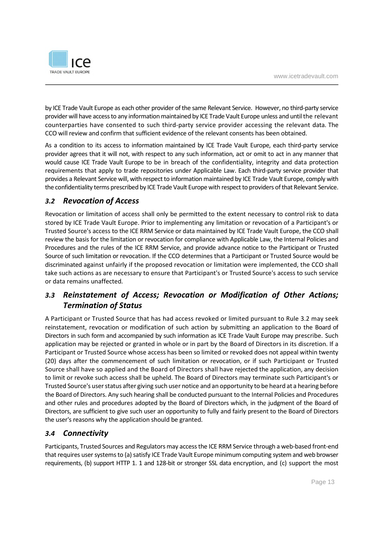

by ICE Trade Vault Europe as each other provider of the same Relevant Service. However, no third-party service provider will have access to any information maintained by ICE Trade Vault Europe unless and until the relevant counterparties have consented to such third-party service provider accessing the relevant data. The CCO will review and confirm that sufficient evidence of the relevant consents has been obtained.

As a condition to its access to information maintained by ICE Trade Vault Europe, each third-party service provider agrees that it will not, with respect to any such information, act or omit to act in any manner that would cause ICE Trade Vault Europe to be in breach of the confidentiality, integrity and data protection requirements that apply to trade repositories under Applicable Law. Each third-party service provider that provides a Relevant Service will, with respect to information maintained by ICE Trade Vault Europe, comply with the confidentiality terms prescribed by ICE Trade Vault Europe with respect to providers of that Relevant Service.

## *3.2 Revocation of Access*

Revocation or limitation of access shall only be permitted to the extent necessary to control risk to data stored by ICE Trade Vault Europe. Prior to implementing any limitation or revocation of a Participant's or Trusted Source's access to the ICE RRM Service or data maintained by ICE Trade Vault Europe, the CCO shall review the basis for the limitation or revocation for compliance with Applicable Law, the Internal Policies and Procedures and the rules of the ICE RRM Service, and provide advance notice to the Participant or Trusted Source of such limitation or revocation. If the CCO determines that a Participant or Trusted Source would be discriminated against unfairly if the proposed revocation or limitation were implemented, the CCO shall take such actions as are necessary to ensure that Participant's or Trusted Source's access to such service or data remains unaffected.

## *3.3 Reinstatement of Access; Revocation or Modification of Other Actions; Termination of Status*

A Participant or Trusted Source that has had access revoked or limited pursuant to Rule 3.2 may seek reinstatement, revocation or modification of such action by submitting an application to the Board of Directors in such form and accompanied by such information as ICE Trade Vault Europe may prescribe. Such application may be rejected or granted in whole or in part by the Board of Directors in its discretion. If a Participant or Trusted Source whose access has been so limited or revoked does not appeal within twenty (20) days after the commencement of such limitation or revocation, or if such Participant or Trusted Source shall have so applied and the Board of Directors shall have rejected the application, any decision to limit or revoke such access shall be upheld. The Board of Directors may terminate such Participant's or Trusted Source's user status after giving such user notice and an opportunity to be heard at a hearing before the Board of Directors. Any such hearing shall be conducted pursuant to the Internal Policies and Procedures and other rules and procedures adopted by the Board of Directors which, in the judgment of the Board of Directors, are sufficient to give such user an opportunity to fully and fairly present to the Board of Directors the user's reasons why the application should be granted.

## *3.4 Connectivity*

Participants, Trusted Sources and Regulators may access the ICE RRM Service through a web-based front-end that requires user systems to (a) satisfy ICE Trade Vault Europe minimum computing system and web browser requirements, (b) support HTTP 1. 1 and 128-bit or stronger SSL data encryption, and (c) support the most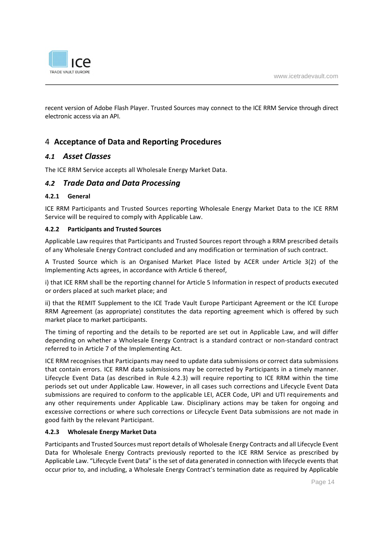

recent version of Adobe Flash Player. Trusted Sources may connect to the ICE RRM Service through direct electronic access via an API.

## 4 **Acceptance of Data and Reporting Procedures**

#### *4.1 Asset Classes*

The ICE RRM Service accepts all Wholesale Energy Market Data.

#### *4.2 Trade Data and Data Processing*

#### **4.2.1 General**

ICE RRM Participants and Trusted Sources reporting Wholesale Energy Market Data to the ICE RRM Service will be required to comply with Applicable Law.

#### **4.2.2 Participants and Trusted Sources**

Applicable Law requires that Participants and Trusted Sources report through a RRM prescribed details of any Wholesale Energy Contract concluded and any modification or termination of such contract.

A Trusted Source which is an Organised Market Place listed by ACER under Article 3(2) of the Implementing Acts agrees, in accordance with Article 6 thereof,

i) that ICE RRM shall be the reporting channel for Article 5 Information in respect of products executed or orders placed at such market place; and

ii) that the REMIT Supplement to the ICE Trade Vault Europe Participant Agreement or the ICE Europe RRM Agreement (as appropriate) constitutes the data reporting agreement which is offered by such market place to market participants.

The timing of reporting and the details to be reported are set out in Applicable Law, and will differ depending on whether a Wholesale Energy Contract is a standard contract or non-standard contract referred to in Article 7 of the Implementing Act.

ICE RRM recognises that Participants may need to update data submissions or correct data submissions that contain errors. ICE RRM data submissions may be corrected by Participants in a timely manner. Lifecycle Event Data (as described in Rule 4.2.3) will require reporting to ICE RRM within the time periods set out under Applicable Law. However, in all cases such corrections and Lifecycle Event Data submissions are required to conform to the applicable LEI, ACER Code, UPI and UTI requirements and any other requirements under Applicable Law. Disciplinary actions may be taken for ongoing and excessive corrections or where such corrections or Lifecycle Event Data submissions are not made in good faith by the relevant Participant.

#### **4.2.3 Wholesale Energy Market Data**

Participants and Trusted Sources must report details of Wholesale Energy Contracts and all Lifecycle Event Data for Wholesale Energy Contracts previously reported to the ICE RRM Service as prescribed by Applicable Law. "Lifecycle Event Data" is the set of data generated in connection with lifecycle events that occur prior to, and including, a Wholesale Energy Contract's termination date as required by Applicable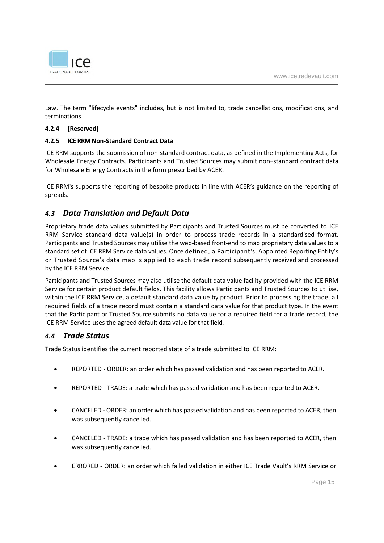

Law. The term "lifecycle events" includes, but is not limited to, trade cancellations, modifications, and terminations.

#### **4.2.4 [Reserved]**

#### **4.2.5 ICE RRM Non-Standard Contract Data**

ICE RRM supports the submission of non-standard contract data, as defined in the Implementing Acts, for Wholesale Energy Contracts. Participants and Trusted Sources may submit non¬standard contract data for Wholesale Energy Contracts in the form prescribed by ACER.

ICE RRM's supports the reporting of bespoke products in line with ACER's guidance on the reporting of spreads.

## *4.3 Data Translation and Default Data*

Proprietary trade data values submitted by Participants and Trusted Sources must be converted to ICE RRM Service standard data value(s) in order to process trade records in a standardised format. Participants and Trusted Sources may utilise the web-based front-end to map proprietary data values to a standard set of ICE RRM Service data values. Once defined, a Participant's, Appointed Reporting Entity's or Trusted Source's data map is applied to each trade record subsequently received and processed by the ICE RRM Service.

Participants and Trusted Sources may also utilise the default data value facility provided with the ICE RRM Service for certain product default fields. This facility allows Participants and Trusted Sources to utilise, within the ICE RRM Service, a default standard data value by product. Prior to processing the trade, all required fields of a trade record must contain a standard data value for that product type. In the event that the Participant or Trusted Source submits no data value for a required field for a trade record, the ICE RRM Service uses the agreed default data value for that field.

#### *4.4 Trade Status*

Trade Status identifies the current reported state of a trade submitted to ICE RRM:

- REPORTED ORDER: an order which has passed validation and has been reported to ACER.
- REPORTED TRADE: a trade which has passed validation and has been reported to ACER.
- CANCELED ORDER: an order which has passed validation and has been reported to ACER, then was subsequently cancelled.
- CANCELED TRADE: a trade which has passed validation and has been reported to ACER, then was subsequently cancelled.
- ERRORED ORDER: an order which failed validation in either ICE Trade Vault's RRM Service or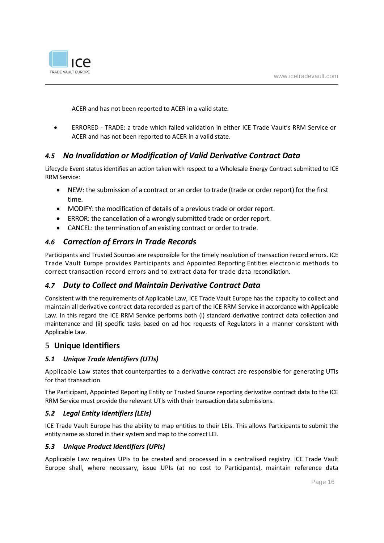

ACER and has not been reported to ACER in a valid state.

 ERRORED - TRADE: a trade which failed validation in either ICE Trade Vault's RRM Service or ACER and has not been reported to ACER in a valid state.

## *4.5 No Invalidation or Modification of Valid Derivative Contract Data*

Lifecycle Event status identifies an action taken with respect to a Wholesale Energy Contract submitted to ICE RRM Service:

- NEW: the submission of a contract or an order to trade (trade or order report) for the first time.
- MODIFY: the modification of details of a previous trade or order report.
- ERROR: the cancellation of a wrongly submitted trade or order report.
- CANCEL: the termination of an existing contract or order to trade.

#### *4.6 Correction of Errors in Trade Records*

Participants and Trusted Sources are responsible for the timely resolution of transaction record errors. ICE Trade Vault Europe provides Participants and Appointed Reporting Entities electronic methods to correct transaction record errors and to extract data for trade data reconciliation.

## *4.7 Duty to Collect and Maintain Derivative Contract Data*

Consistent with the requirements of Applicable Law, ICE Trade Vault Europe has the capacity to collect and maintain all derivative contract data recorded as part of the ICE RRM Service in accordance with Applicable Law. In this regard the ICE RRM Service performs both (i) standard derivative contract data collection and maintenance and (ii) specific tasks based on ad hoc requests of Regulators in a manner consistent with Applicable Law.

### 5 **Unique Identifiers**

#### *5.1 Unique Trade Identifiers (UTIs)*

Applicable Law states that counterparties to a derivative contract are responsible for generating UTIs for that transaction.

The Participant, Appointed Reporting Entity or Trusted Source reporting derivative contract data to the ICE RRM Service must provide the relevant UTIs with their transaction data submissions.

#### *5.2 Legal Entity Identifiers (LEIs)*

ICE Trade Vault Europe has the ability to map entities to their LEIs. This allows Participants to submit the entity name as stored in their system and map to the correct LEI.

#### *5.3 Unique Product Identifiers (UPIs)*

Applicable Law requires UPIs to be created and processed in a centralised registry. ICE Trade Vault Europe shall, where necessary, issue UPIs (at no cost to Participants), maintain reference data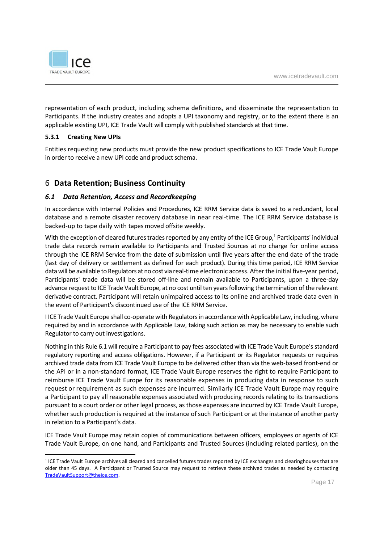

representation of each product, including schema definitions, and disseminate the representation to Participants. If the industry creates and adopts a UPI taxonomy and registry, or to the extent there is an applicable existing UPI, ICE Trade Vault will comply with published standards at that time.

#### **5.3.1 Creating New UPIs**

Entities requesting new products must provide the new product specifications to ICE Trade Vault Europe in order to receive a new UPI code and product schema.

#### 6 **Data Retention; Business Continuity**

#### *6.1 Data Retention, Access and Recordkeeping*

In accordance with Internal Policies and Procedures, ICE RRM Service data is saved to a redundant, local database and a remote disaster recovery database in near real-time. The ICE RRM Service database is backed-up to tape daily with tapes moved offsite weekly.

With the exception of cleared futures trades reported by any entity of the ICE Group,<sup>1</sup> Participants' individual trade data records remain available to Participants and Trusted Sources at no charge for online access through the ICE RRM Service from the date of submission until five years after the end date of the trade (last day of delivery or settlement as defined for each product). During this time period, ICE RRM Service data will be available to Regulators at no cost via real-time electronic access. After the initial five-year period, Participants' trade data will be stored off-line and remain available to Participants, upon a three-day advance request to ICE Trade Vault Europe, at no cost until ten years following the termination of the relevant derivative contract. Participant will retain unimpaired access to its online and archived trade data even in the event of Participant's discontinued use of the ICE RRM Service.

I ICE Trade Vault Europe shall co-operate with Regulators in accordance with Applicable Law, including, where required by and in accordance with Applicable Law, taking such action as may be necessary to enable such Regulator to carry out investigations.

Nothing in this Rule 6.1 will require a Participant to pay fees associated with ICE Trade Vault Europe's standard regulatory reporting and access obligations. However, if a Participant or its Regulator requests or requires archived trade data from ICE Trade Vault Europe to be delivered other than via the web-based front-end or the API or in a non-standard format, ICE Trade Vault Europe reserves the right to require Participant to reimburse ICE Trade Vault Europe for its reasonable expenses in producing data in response to such request or requirement as such expenses are incurred. Similarly ICE Trade Vault Europe may require a Participant to pay all reasonable expenses associated with producing records relating to its transactions pursuant to a court order or other legal process, as those expenses are incurred by ICE Trade Vault Europe, whether such production is required at the instance of such Participant or at the instance of another party in relation to a Participant's data.

ICE Trade Vault Europe may retain copies of communications between officers, employees or agents of ICE Trade Vault Europe, on one hand, and Participants and Trusted Sources (including related parties), on the

<sup>&</sup>lt;sup>1</sup> ICE Trade Vault Europe archives all cleared and cancelled futures trades reported by ICE exchanges and clearinghouses that are older than 45 days. A Participant or Trusted Source may request to retrieve these archived trades as needed by contacting TradeVaultSupport@theice.com.